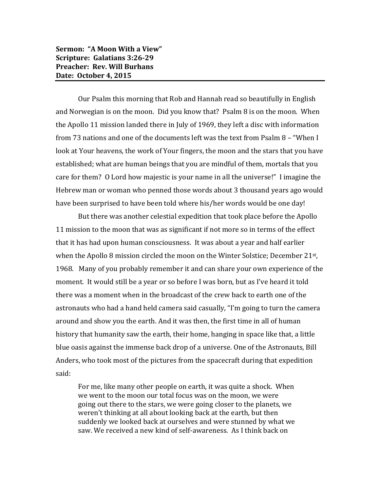**Sermon: "A Moon With a View" Scripture: Galatians 3:26-29 Preacher: Rev. Will Burhans Date: October 4, 2015**

Our Psalm this morning that Rob and Hannah read so beautifully in English and Norwegian is on the moon. Did you know that? Psalm 8 is on the moon. When the Apollo 11 mission landed there in July of 1969, they left a disc with information from 73 nations and one of the documents left was the text from Psalm 8 – "When I look at Your heavens, the work of Your fingers, the moon and the stars that you have established; what are human beings that you are mindful of them, mortals that you care for them? O Lord how majestic is your name in all the universe!" I imagine the Hebrew man or woman who penned those words about 3 thousand years ago would have been surprised to have been told where his/her words would be one day!

But there was another celestial expedition that took place before the Apollo 11 mission to the moon that was as significant if not more so in terms of the effect that it has had upon human consciousness. It was about a year and half earlier when the Apollo 8 mission circled the moon on the Winter Solstice; December 21st, 1968. Many of you probably remember it and can share your own experience of the moment. It would still be a year or so before I was born, but as I've heard it told there was a moment when in the broadcast of the crew back to earth one of the astronauts who had a hand held camera said casually, "I'm going to turn the camera around and show you the earth. And it was then, the first time in all of human history that humanity saw the earth, their home, hanging in space like that, a little blue oasis against the immense back drop of a universe. One of the Astronauts, Bill Anders, who took most of the pictures from the spacecraft during that expedition said:

For me, like many other people on earth, it was quite a shock. When we went to the moon our total focus was on the moon, we were going out there to the stars, we were going closer to the planets, we weren't thinking at all about looking back at the earth, but then suddenly we looked back at ourselves and were stunned by what we saw. We received a new kind of self-awareness. As I think back on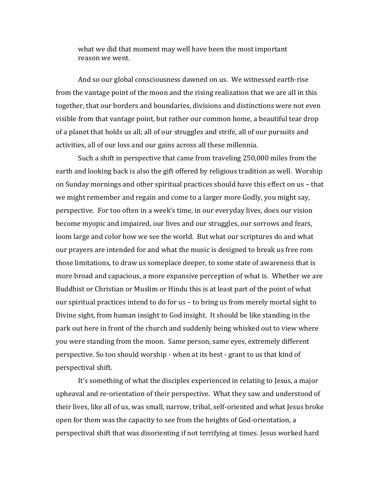what we did that moment may well have been the most important reason we went.

And so our global consciousness dawned on us. We witnessed earth-rise from the vantage point of the moon and the rising realization that we are all in this together, that our borders and boundaries, divisions and distinctions were not even visible from that vantage point, but rather our common home, a beautiful tear drop of a planet that holds us all; all of our struggles and strife, all of our pursuits and activities, all of our loss and our gains across all these millennia.

Such a shift in perspective that came from traveling 250,000 miles from the earth and looking back is also the gift offered by religious tradition as well. Worship on Sunday mornings and other spiritual practices should have this effect on us – that we might remember and regain and come to a larger more Godly, you might say, perspective. For too often in a week's time, in our everyday lives, does our vision become myopic and impaired, our lives and our struggles, our sorrows and fears, loom large and color how we see the world. But what our scriptures do and what our prayers are intended for and what the music is designed to break us free rom those limitations, to draw us someplace deeper, to some state of awareness that is more broad and capacious, a more expansive perception of what is. Whether we are Buddhist or Christian or Muslim or Hindu this is at least part of the point of what our spiritual practices intend to do for us – to bring us from merely mortal sight to Divine sight, from human insight to God insight. It should be like standing in the park out here in front of the church and suddenly being whisked out to view where you were standing from the moon. Same person, same eyes, extremely different perspective. So too should worship - when at its best - grant to us that kind of perspectival shift.

It's something of what the disciples experienced in relating to Jesus, a major upheaval and re-orientation of their perspective. What they saw and understood of their lives, like all of us, was small, narrow, tribal, self-oriented and what Jesus broke open for them was the capacity to see from the heights of God-orientation, a perspectival shift that was disorienting if not terrifying at times. Jesus worked hard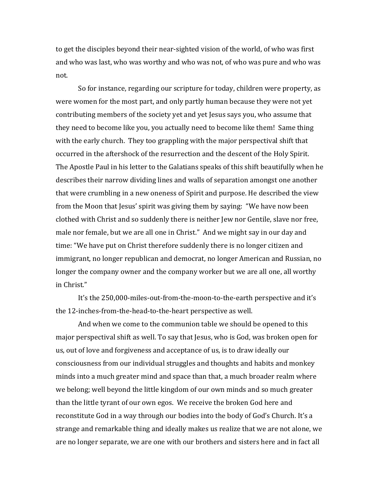to get the disciples beyond their near-sighted vision of the world, of who was first and who was last, who was worthy and who was not, of who was pure and who was not.

So for instance, regarding our scripture for today, children were property, as were women for the most part, and only partly human because they were not yet contributing members of the society yet and yet Jesus says you, who assume that they need to become like you, you actually need to become like them! Same thing with the early church. They too grappling with the major perspectival shift that occurred in the aftershock of the resurrection and the descent of the Holy Spirit. The Apostle Paul in his letter to the Galatians speaks of this shift beautifully when he describes their narrow dividing lines and walls of separation amongst one another that were crumbling in a new oneness of Spirit and purpose. He described the view from the Moon that Jesus' spirit was giving them by saying: "We have now been clothed with Christ and so suddenly there is neither Jew nor Gentile, slave nor free, male nor female, but we are all one in Christ." And we might say in our day and time: "We have put on Christ therefore suddenly there is no longer citizen and immigrant, no longer republican and democrat, no longer American and Russian, no longer the company owner and the company worker but we are all one, all worthy in Christ."

It's the 250,000-miles-out-from-the-moon-to-the-earth perspective and it's the 12-inches-from-the-head-to-the-heart perspective as well.

And when we come to the communion table we should be opened to this major perspectival shift as well. To say that Jesus, who is God, was broken open for us, out of love and forgiveness and acceptance of us, is to draw ideally our consciousness from our individual struggles and thoughts and habits and monkey minds into a much greater mind and space than that, a much broader realm where we belong; well beyond the little kingdom of our own minds and so much greater than the little tyrant of our own egos. We receive the broken God here and reconstitute God in a way through our bodies into the body of God's Church. It's a strange and remarkable thing and ideally makes us realize that we are not alone, we are no longer separate, we are one with our brothers and sisters here and in fact all